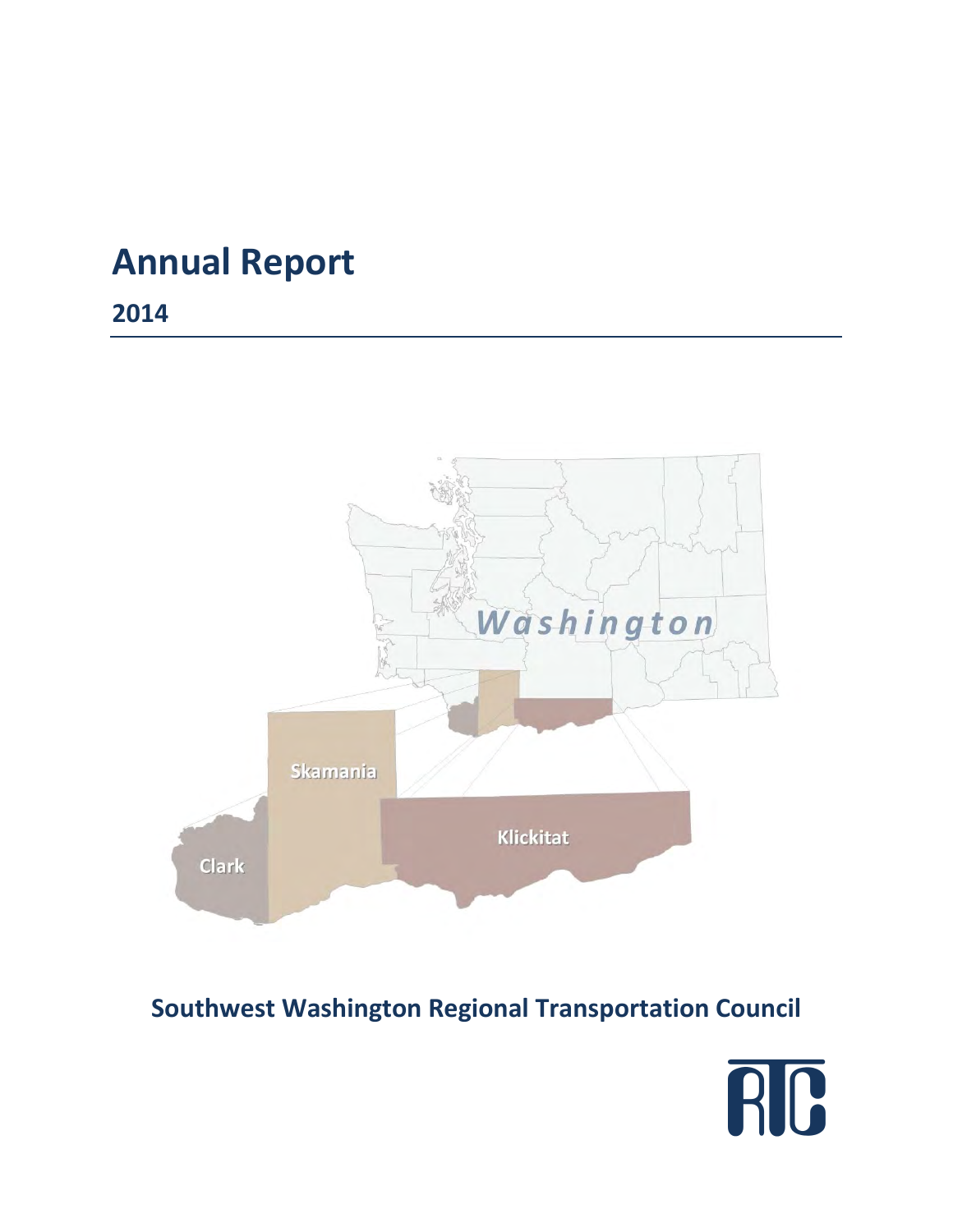# **Annual Report**

**2014** 



# **Southwest Washington Regional Transportation Council**

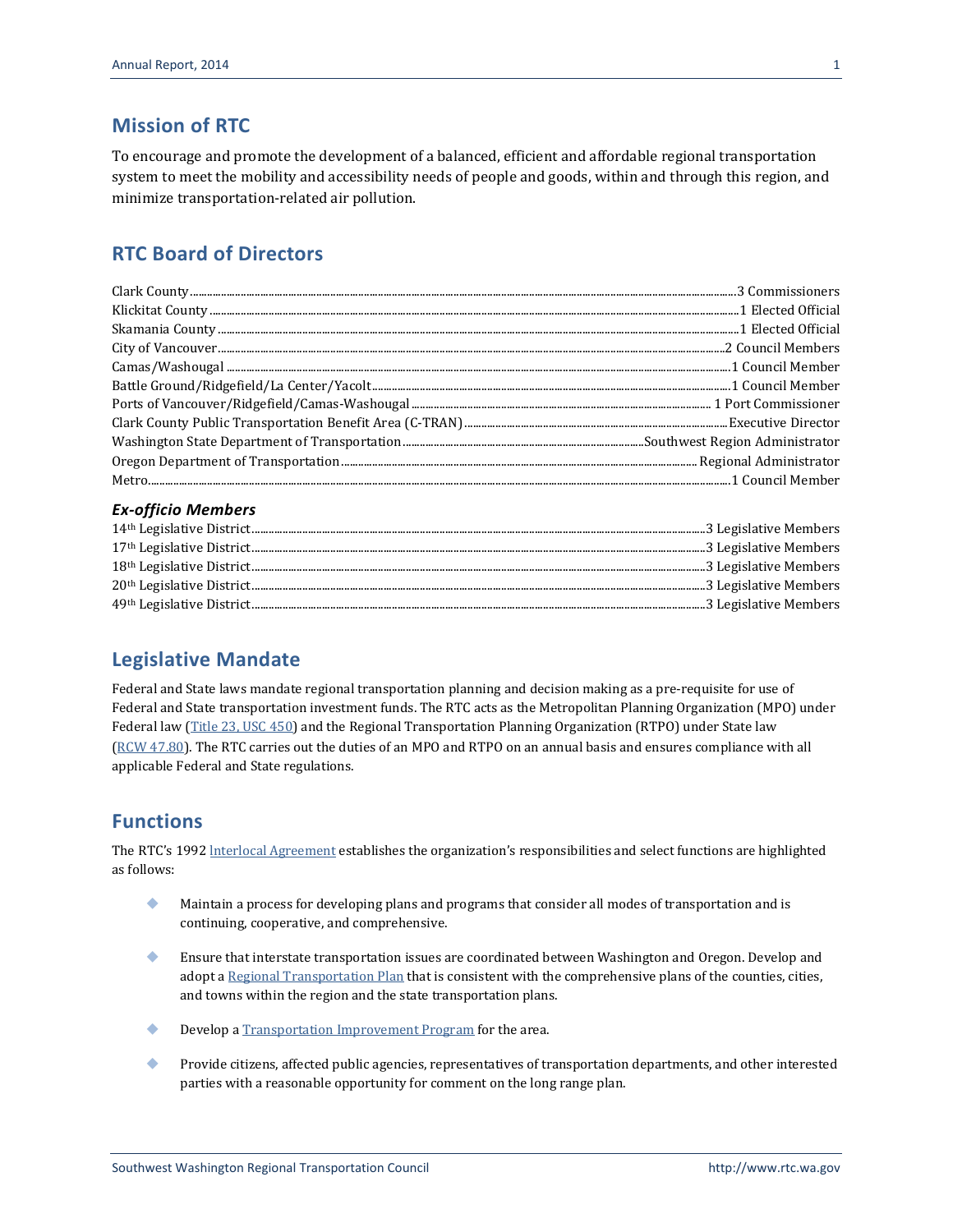#### **Mission of RTC**

To encourage and promote the development of a balanced, efficient and affordable regional transportation system to meet the mobility and accessibility needs of people and goods, within and through this region, and minimize transportation-related air pollution.

#### **RTC Board of Directors**

#### *Ex-officio Members*

#### **Legislative Mandate**

Federal and State laws mandate regional transportation planning and decision making as a pre-requisite for use of Federal and State transportation investment funds. The RTC acts as the Metropolitan Planning Organization (MPO) under Federal law [\(Title 23, USC 450\)](http://www.gpo.gov/fdsys/granule/CFR-2004-title23-vol1/CFR-2004-title23-vol1-part450/content-detail.html) and the Regional Transportation Planning Organization (RTPO) under State law (RCW [47.80\)](http://apps.leg.wa.gov/rcw/default.aspx?cite=47.80&full=true). The RTC carries out the duties of an MPO and RTPO on an annual basis and ensures compliance with all applicable Federal and State regulations.

#### **Functions**

The RTC's 1992 [lnterlocal Agreement](http://www.rtc.wa.gov/agency/docs/RTC-Interlocal19920701.pdf) establishes the organization's responsibilities and select functions are highlighted as follows:

- Maintain a process for developing plans and programs that consider all modes of transportation and is continuing, cooperative, and comprehensive.
- Ensure that interstate transportation issues are coordinated between Washington and Oregon. Develop and adopt [a Regional Transportation Plan](http://www.rtc.wa.gov/programs/rtp/) that is consistent with the comprehensive plans of the counties, cities, and towns within the region and the state transportation plans.
- **Develop a [Transportation Improvement Program](http://www.rtc.wa.gov/programs/tip/) for the area.**
- Provide citizens, affected public agencies, representatives of transportation departments, and other interested parties with a reasonable opportunity for comment on the long range plan.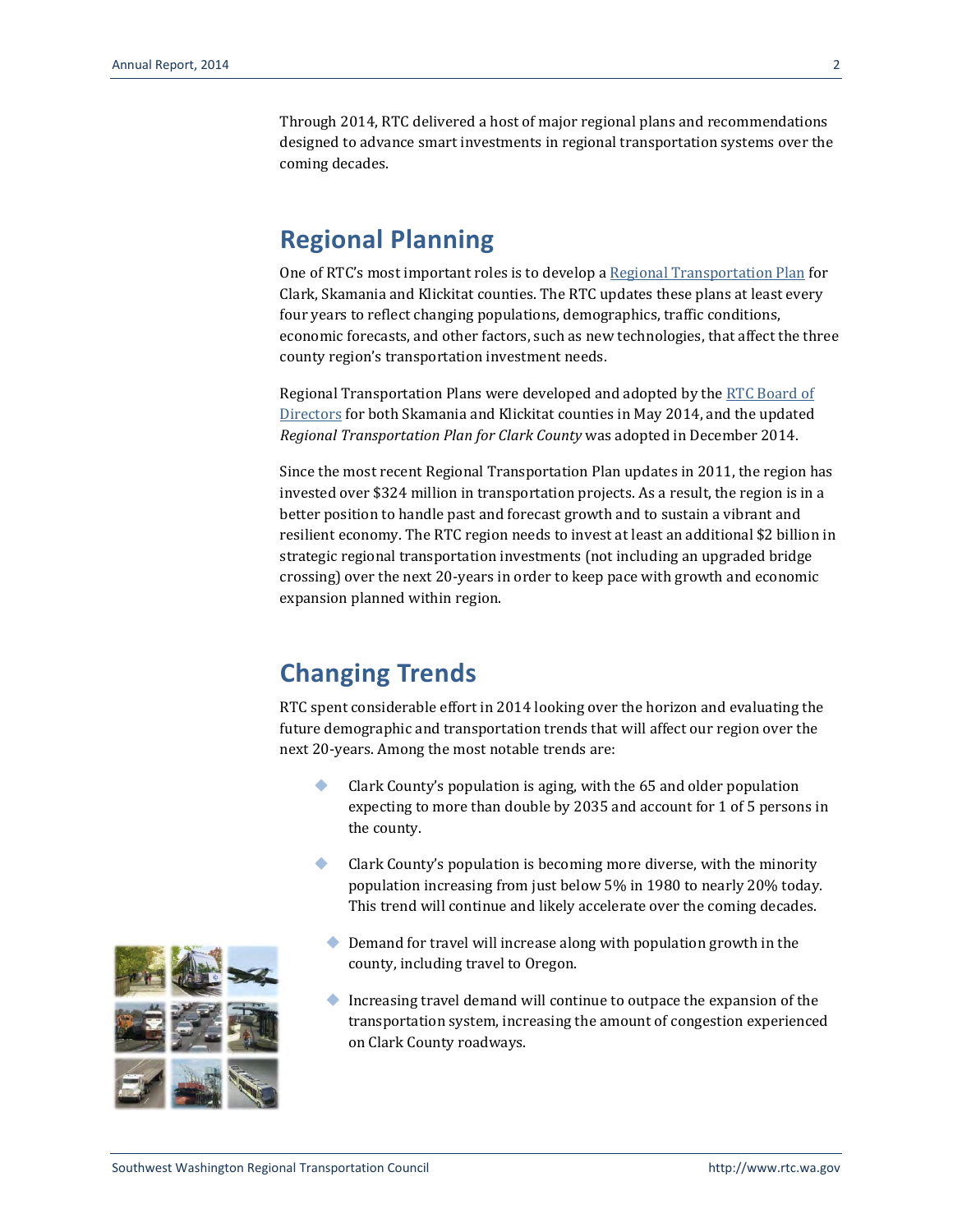Through 2014, RTC delivered a host of major regional plans and recommendations designed to advance smart investments in regional transportation systems over the coming decades.

#### **Regional Planning**

One of RTC's most important roles is to develop a [Regional Transportation Plan](http://www.rtc.wa.gov/programs/rtp/) for Clark, Skamania and Klickitat counties. The RTC updates these plans at least every four years to reflect changing populations, demographics, traffic conditions, economic forecasts, and other factors, such as new technologies, that affect the three county region's transportation investment needs.

Regional Transportation Plans were developed and adopted by the [RTC Board](http://www.rtc.wa.gov/agency/board/) of [Directors](http://www.rtc.wa.gov/agency/board/) for both Skamania and Klickitat counties in May 2014, and the updated *Regional Transportation Plan for Clark County* was adopted in December 2014.

Since the most recent Regional Transportation Plan updates in 2011, the region has invested over \$324 million in transportation projects. As a result, the region is in a better position to handle past and forecast growth and to sustain a vibrant and resilient economy. The RTC region needs to invest at least an additional \$2 billion in strategic regional transportation investments (not including an upgraded bridge crossing) over the next 20-years in order to keep pace with growth and economic expansion planned within region.

## **Changing Trends**

RTC spent considerable effort in 2014 looking over the horizon and evaluating the future demographic and transportation trends that will affect our region over the next 20-years. Among the most notable trends are:

- Clark County's population is aging, with the 65 and older population expecting to more than double by 2035 and account for 1 of 5 persons in the county.
- Clark County's population is becoming more diverse, with the minority population increasing from just below 5% in 1980 to nearly 20% today. This trend will continue and likely accelerate over the coming decades.
	- ◆ Demand for travel will increase along with population growth in the county, including travel to Oregon.
	- Increasing travel demand will continue to outpace the expansion of the transportation system, increasing the amount of congestion experienced on Clark County roadways.

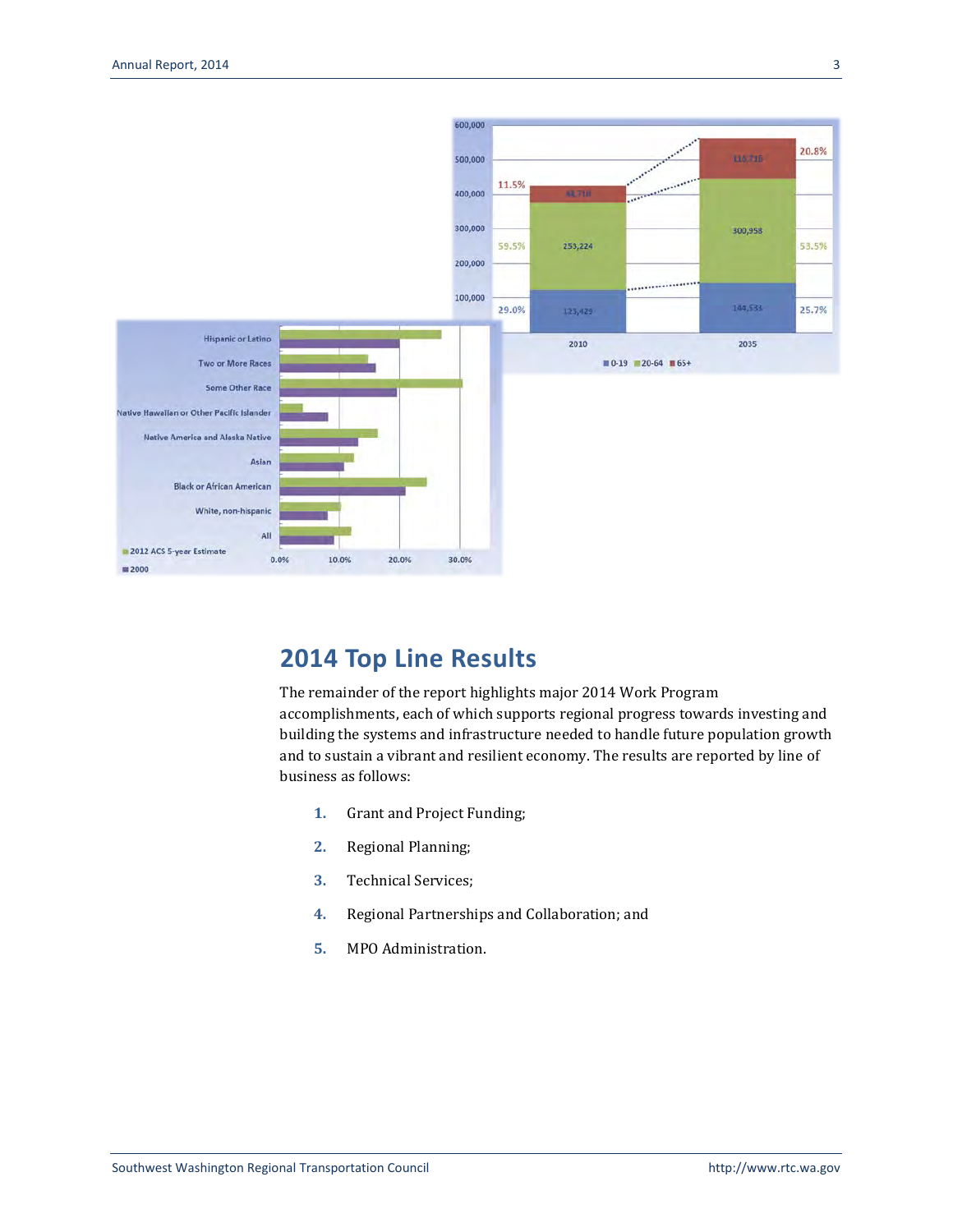

## **2014 Top Line Results**

The remainder of the report highlights major 2014 Work Program accomplishments, each of which supports regional progress towards investing and building the systems and infrastructure needed to handle future population growth and to sustain a vibrant and resilient economy. The results are reported by line of business as follows:

- **1.** Grant and Project Funding;
- **2.** Regional Planning;
- **3.** Technical Services;
- **4.** Regional Partnerships and Collaboration; and
- **5.** MPO Administration.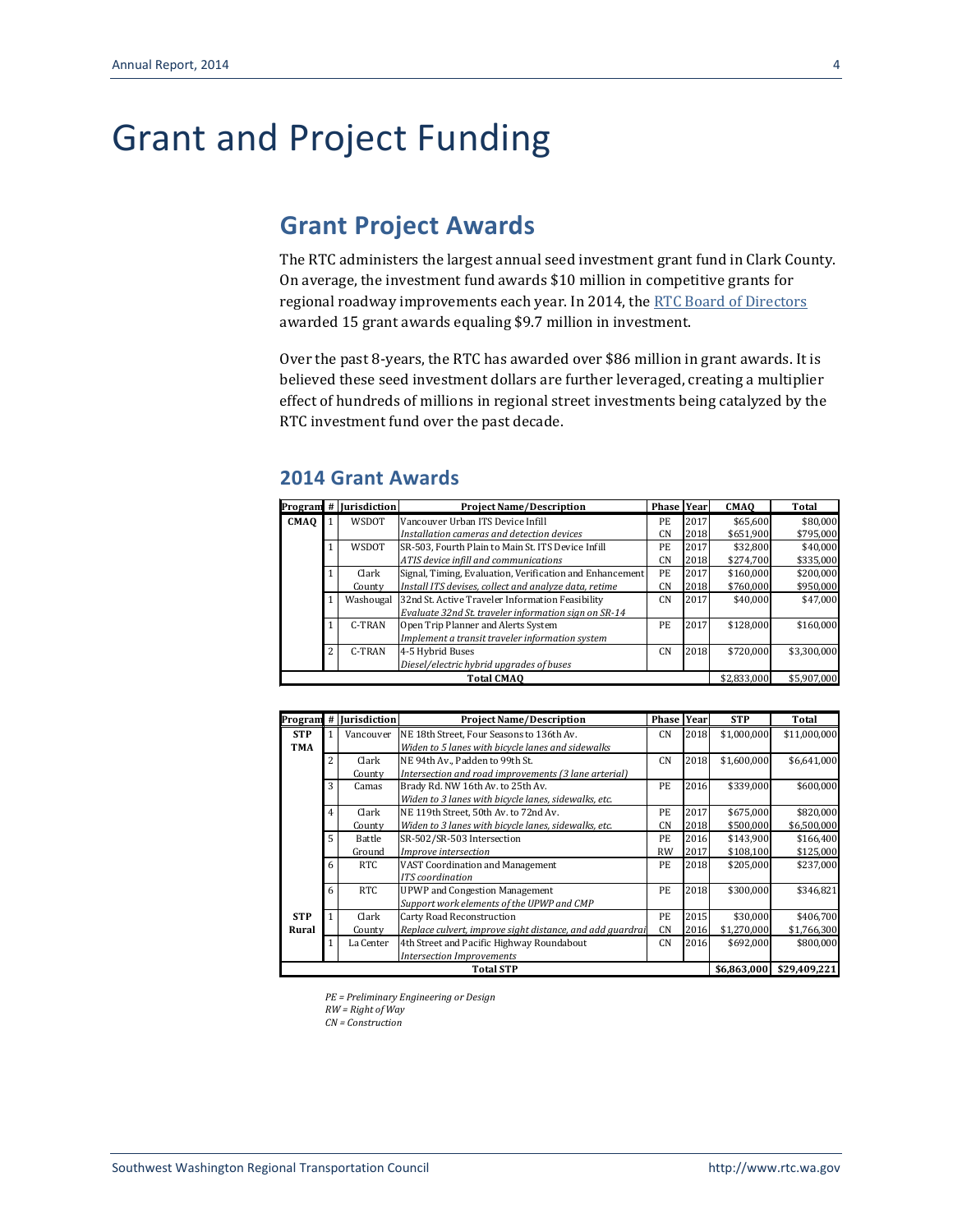# Grant and Project Funding

## **Grant Project Awards**

The RTC administers the largest annual seed investment grant fund in Clark County. On average, the investment fund awards \$10 million in competitive grants for regional roadway improvements each year. In 2014, th[e RTC Board of Directors](http://www.rtc.wa.gov/agency/board/) awarded 15 grant awards equaling \$9.7 million in investment.

Over the past 8-years, the RTC has awarded over \$86 million in grant awards. It is believed these seed investment dollars are further leveraged, creating a multiplier effect of hundreds of millions in regional street investments being catalyzed by the RTC investment fund over the past decade.

#### **2014 Grant Awards**

|             |                                                             | Program # Jurisdiction | <b>Project Name/Description</b>                          | <b>Phase Year</b> |          | <b>CMAO</b> | Total       |
|-------------|-------------------------------------------------------------|------------------------|----------------------------------------------------------|-------------------|----------|-------------|-------------|
| <b>CMAQ</b> |                                                             | <b>WSDOT</b>           | Vancouver Urban ITS Device Infill                        | PE.               | 2017     | \$65.600    | \$80,000    |
|             |                                                             |                        | Installation cameras and detection devices               | CN                | 2018     | \$651.900   | \$795,000   |
|             | WSDOT<br>SR-503, Fourth Plain to Main St. ITS Device Infill |                        | PE                                                       | 2017              | \$32.800 | \$40.000    |             |
|             |                                                             |                        | ATIS device infill and communications                    | CN                | 2018     | \$274.700   | \$335,000   |
|             |                                                             | Clark                  | Signal, Timing, Evaluation, Verification and Enhancement | PE.               | 2017     | \$160,000   | \$200,000   |
|             |                                                             | County                 | Install ITS devises, collect and analyze data, retime    | <b>CN</b>         | 2018     | \$760.000   | \$950.000   |
|             |                                                             | Washougal              | 32nd St. Active Traveler Information Feasibility         | <b>CN</b>         | 2017     | \$40.000    | \$47.000    |
|             |                                                             |                        | Evaluate 32nd St. traveler information sign on SR-14     |                   |          |             |             |
|             |                                                             | C-TRAN                 | Open Trip Planner and Alerts System                      | PE.               | 2017     | \$128,000   | \$160,000   |
|             |                                                             |                        | Implement a transit traveler information system          |                   |          |             |             |
|             | 2                                                           | C-TRAN                 | 4-5 Hybrid Buses                                         | <b>CN</b>         | 2018     | \$720.000   | \$3,300,000 |
|             |                                                             |                        | Diesel/electric hybrid upgrades of buses                 |                   |          |             |             |
|             |                                                             |                        | <b>Total CMAO</b>                                        |                   |          | \$2,833,000 | \$5,907,000 |

|            |                                                               | Program # Jurisdiction | <b>Project Name/Description</b>                           | <b>Phase</b> | Year | <b>STP</b>  | Total        |
|------------|---------------------------------------------------------------|------------------------|-----------------------------------------------------------|--------------|------|-------------|--------------|
| <b>STP</b> |                                                               | Vancouver              | NE 18th Street, Four Seasons to 136th Av.                 | <b>CN</b>    | 2018 | \$1,000,000 | \$11,000,000 |
| TMA        |                                                               |                        | Widen to 5 lanes with bicycle lanes and sidewalks         |              |      |             |              |
|            | 2                                                             | Clark                  | NE 94th Av., Padden to 99th St.                           | <b>CN</b>    | 2018 | \$1,600,000 | \$6,641,000  |
|            |                                                               | County                 | Intersection and road improvements (3 lane arterial)      |              |      |             |              |
|            | 3<br>2016<br>Brady Rd. NW 16th Av. to 25th Av.<br>PЕ<br>Camas |                        | \$339,000                                                 | \$600,000    |      |             |              |
|            |                                                               |                        | Widen to 3 lanes with bicycle lanes, sidewalks, etc.      |              |      |             |              |
|            |                                                               | Clark                  | NE 119th Street, 50th Av. to 72nd Av.                     | PE.          | 2017 | \$675,000   | \$820,000    |
|            |                                                               | County                 | Widen to 3 lanes with bicycle lanes, sidewalks, etc.      | <b>CN</b>    | 2018 | \$500,000   | \$6,500,000  |
|            | 5                                                             | Battle                 | SR-502/SR-503 Intersection                                | PE.          | 2016 | \$143,900   | \$166,400    |
|            |                                                               | Ground                 | Improve intersection                                      | <b>RW</b>    | 2017 | \$108,100   | \$125,000    |
|            | 6                                                             | RTC                    | <b>VAST Coordination and Management</b>                   | PЕ           | 2018 | \$205,000   | \$237,000    |
|            |                                                               |                        | ITS coordination                                          |              |      |             |              |
|            | 6                                                             | <b>RTC</b>             | <b>UPWP</b> and Congestion Management                     | PЕ           | 2018 | \$300.000   | \$346,821    |
|            |                                                               |                        | Support work elements of the UPWP and CMP                 |              |      |             |              |
| <b>STP</b> |                                                               | Clark                  | Carty Road Reconstruction                                 | PE           | 2015 | \$30,000    | \$406,700    |
| Rural      |                                                               | County                 | Replace culvert, improve sight distance, and add guardrai | <b>CN</b>    | 2016 | \$1,270,000 | \$1,766,300  |
|            |                                                               | La Center              | 4th Street and Pacific Highway Roundabout                 | <b>CN</b>    | 2016 | \$692,000   | \$800,000    |
|            |                                                               |                        | <b>Intersection Improvements</b>                          |              |      |             |              |
|            |                                                               |                        | <b>Total STP</b>                                          |              |      | \$6,863,000 | \$29,409,221 |

*PE = Preliminary Engineering or Design RW = Right of Way*

*CN = Construction*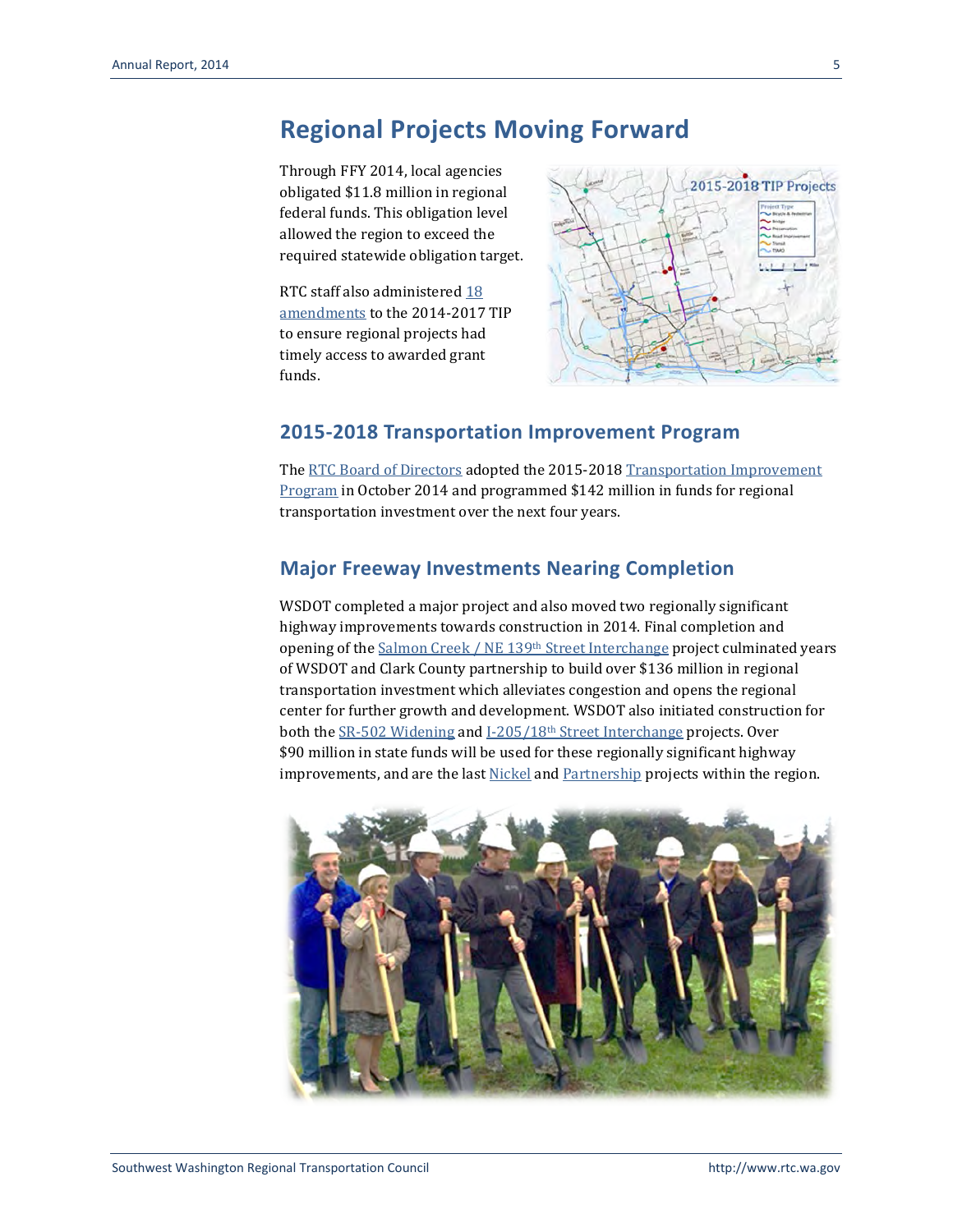#### **Regional Projects Moving Forward**

Through FFY 2014, local agencies obligated \$11.8 million in regional federal funds. This obligation level allowed the region to exceed the required statewide obligation target.

RTC staff also administere[d 18](http://www.rtc.wa.gov/programs/tip/amendments/)  [amendments](http://www.rtc.wa.gov/programs/tip/amendments/) to the 2014-2017 TIP to ensure regional projects had timely access to awarded grant funds.



#### **2015-2018 Transportation Improvement Program**

Th[e RTC Board of Directors](http://www.rtc.wa.gov/agency/board/) adopted the 2015-2018 Transportation Improvement [Program](http://www.rtc.wa.gov/programs/tip/) in October 2014 and programmed \$142 million in funds for regional transportation investment over the next four years.

#### **Major Freeway Investments Nearing Completion**

WSDOT completed a major project and also moved two regionally significant highway improvements towards construction in 2014. Final completion and opening of th[e Salmon Creek / NE 139th](http://www.wsdot.wa.gov/Projects/I5/ne134thi205/default.htm) Street Interchange project culminated years of WSDOT and Clark County partnership to build over \$136 million in regional transportation investment which alleviates congestion and opens the regional center for further growth and development. WSDOT also initiated construction for both the [SR-502 Widening](http://www.wsdot.wa.gov/projects/sr502/widening/) and I-205/18th [Street Interchange](http://www.wsdot.wa.gov/projects/i205/millplainto18th/) projects. Over \$90 million in state funds will be used for these regionally significant highway improvements, and are the las[t Nickel](http://www.wsdot.wa.gov/Projects/Funding/Nickel/) and [Partnership](http://www.wsdot.wa.gov/Projects/Funding/2005/) projects within the region.

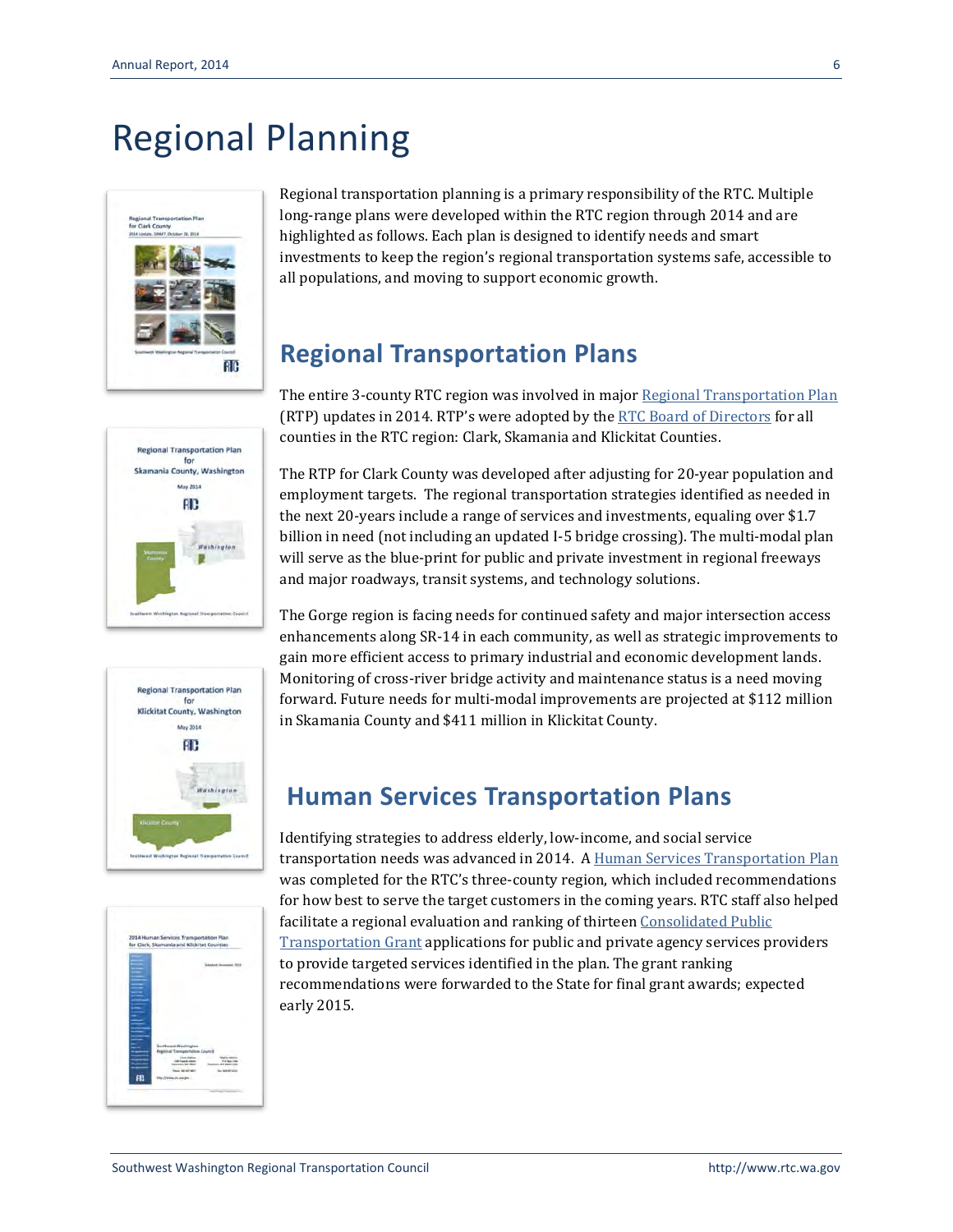# Regional Planning



Regional transportation planning is a primary responsibility of the RTC. Multiple long-range plans were developed within the RTC region through 2014 and are highlighted as follows. Each plan is designed to identify needs and smart investments to keep the region's regional transportation systems safe, accessible to all populations, and moving to support economic growth.

## **Regional Transportation Plans**

The entire 3-county RTC region was involved in majo[r Regional Transportation Plan](http://www.rtc.wa.gov/programs/rtp/) (RTP) updates in 2014. RTP's were adopted by th[e RTC Board of Directors](http://www.rtc.wa.gov/agency/board/) for all counties in the RTC region: Clark, Skamania and Klickitat Counties.







The RTP for Clark County was developed after adjusting for 20-year population and employment targets. The regional transportation strategies identified as needed in the next 20-years include a range of services and investments, equaling over \$1.7 billion in need (not including an updated I-5 bridge crossing). The multi-modal plan will serve as the blue-print for public and private investment in regional freeways and major roadways, transit systems, and technology solutions.

The Gorge region is facing needs for continued safety and major intersection access enhancements along SR-14 in each community, as well as strategic improvements to gain more efficient access to primary industrial and economic development lands. Monitoring of cross-river bridge activity and maintenance status is a need moving forward. Future needs for multi-modal improvements are projected at \$112 million in Skamania County and \$411 million in Klickitat County.

## **Human Services Transportation Plans**

Identifying strategies to address elderly, low-income, and social service transportation needs was advanced in 2014. A [Human Services Transportation Plan](http://www.rtc.wa.gov/programs/hstp/) was completed for the RTC's three-county region, which included recommendations for how best to serve the target customers in the coming years. RTC staff also helped facilitate a regional evaluation and ranking of thirteen Consolidated Public [Transportation Grant](http://www.wsdot.wa.gov/transit/grants) applications for public and private agency services providers to provide targeted services identified in the plan. The grant ranking recommendations were forwarded to the State for final grant awards; expected early 2015.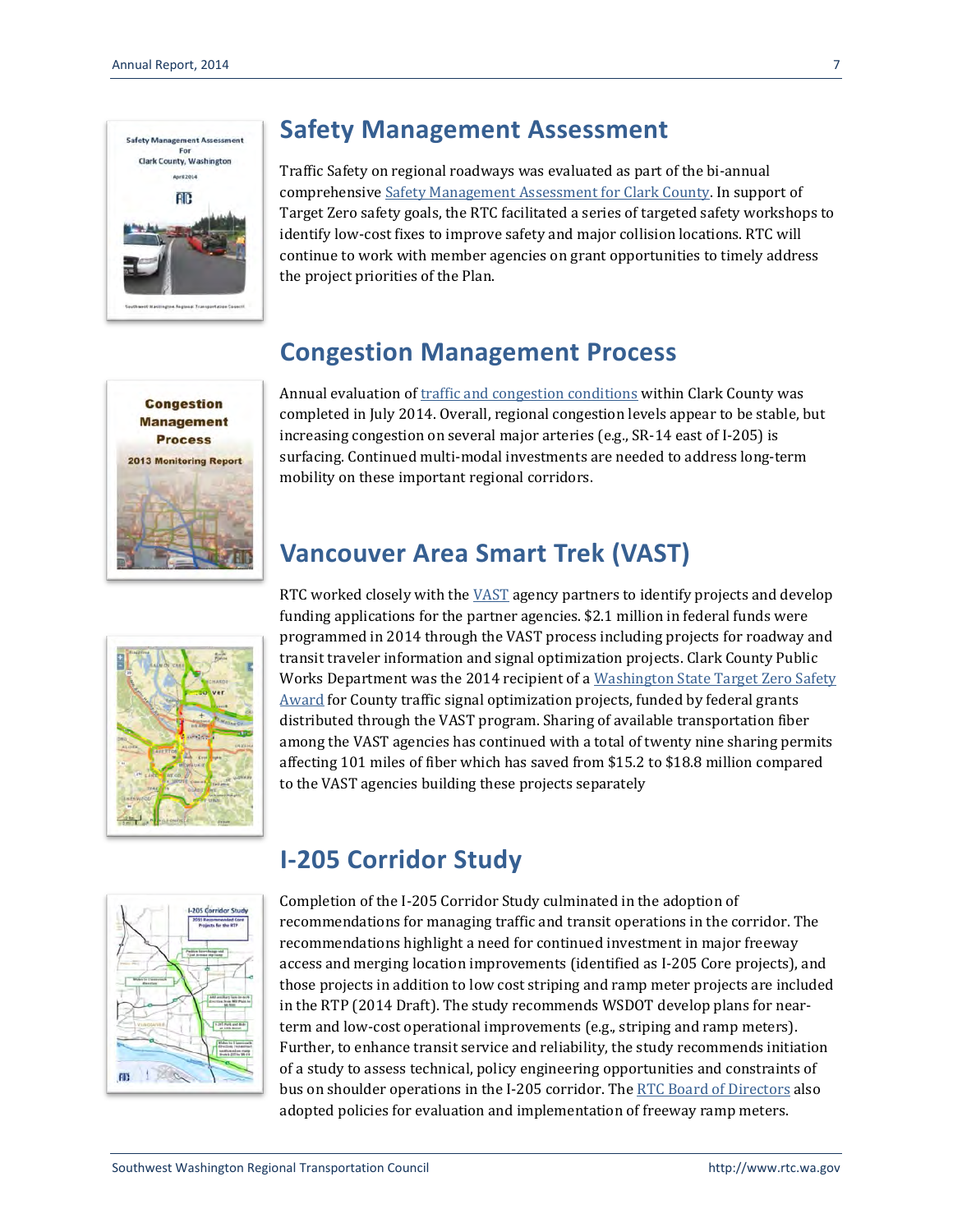

## **Safety Management Assessment**

Traffic Safety on regional roadways was evaluated as part of the bi-annual comprehensive [Safety Management Assessment for Clark County.](http://www.rtc.wa.gov/reports/safety/SafetyMgmt2014.pdf) In support of Target Zero safety goals, the RTC facilitated a series of targeted safety workshops to identify low-cost fixes to improve safety and major collision locations. RTC will continue to work with member agencies on grant opportunities to timely address the project priorities of the Plan.

## **Congestion Management Process**



Annual evaluation o[f traffic and congestion conditions](http://www.rtc.wa.gov/programs/cmp/) within Clark County was completed in July 2014. Overall, regional congestion levels appear to be stable, but increasing congestion on several major arteries (e.g., SR-14 east of I-205) is surfacing. Continued multi-modal investments are needed to address long-term mobility on these important regional corridors.

# **Vancouver Area Smart Trek (VAST)**



RTC worked closely with the [VAST](http://www.rtc.wa.gov/programs/vast/) agency partners to identify projects and develop funding applications for the partner agencies. \$2.1 million in federal funds were programmed in 2014 through the VAST process including projects for roadway and transit traveler information and signal optimization projects. Clark County Public Works Department was the 2014 recipient of a [Washington State Target Zero Safety](http://www.rtc.wa.gov/news/feature/?id=140521)  [Award](http://www.rtc.wa.gov/news/feature/?id=140521) for County traffic signal optimization projects, funded by federal grants distributed through the VAST program. Sharing of available transportation fiber among the VAST agencies has continued with a total of twenty nine sharing permits affecting 101 miles of fiber which has saved from \$15.2 to \$18.8 million compared to the VAST agencies building these projects separately



## **I-205 Corridor Study**

Completion of the I-205 Corridor Study culminated in the adoption of recommendations for managing traffic and transit operations in the corridor. The recommendations highlight a need for continued investment in major freeway access and merging location improvements (identified as I-205 Core projects), and those projects in addition to low cost striping and ramp meter projects are included in the RTP (2014 Draft). The study recommends WSDOT develop plans for nearterm and low-cost operational improvements (e.g., striping and ramp meters). Further, to enhance transit service and reliability, the study recommends initiation of a study to assess technical, policy engineering opportunities and constraints of bus on shoulder operations in the I-205 corridor. The RTC Board [of Directors](http://www.rtc.wa.gov/agency/board/) also adopted policies for evaluation and implementation of freeway ramp meters.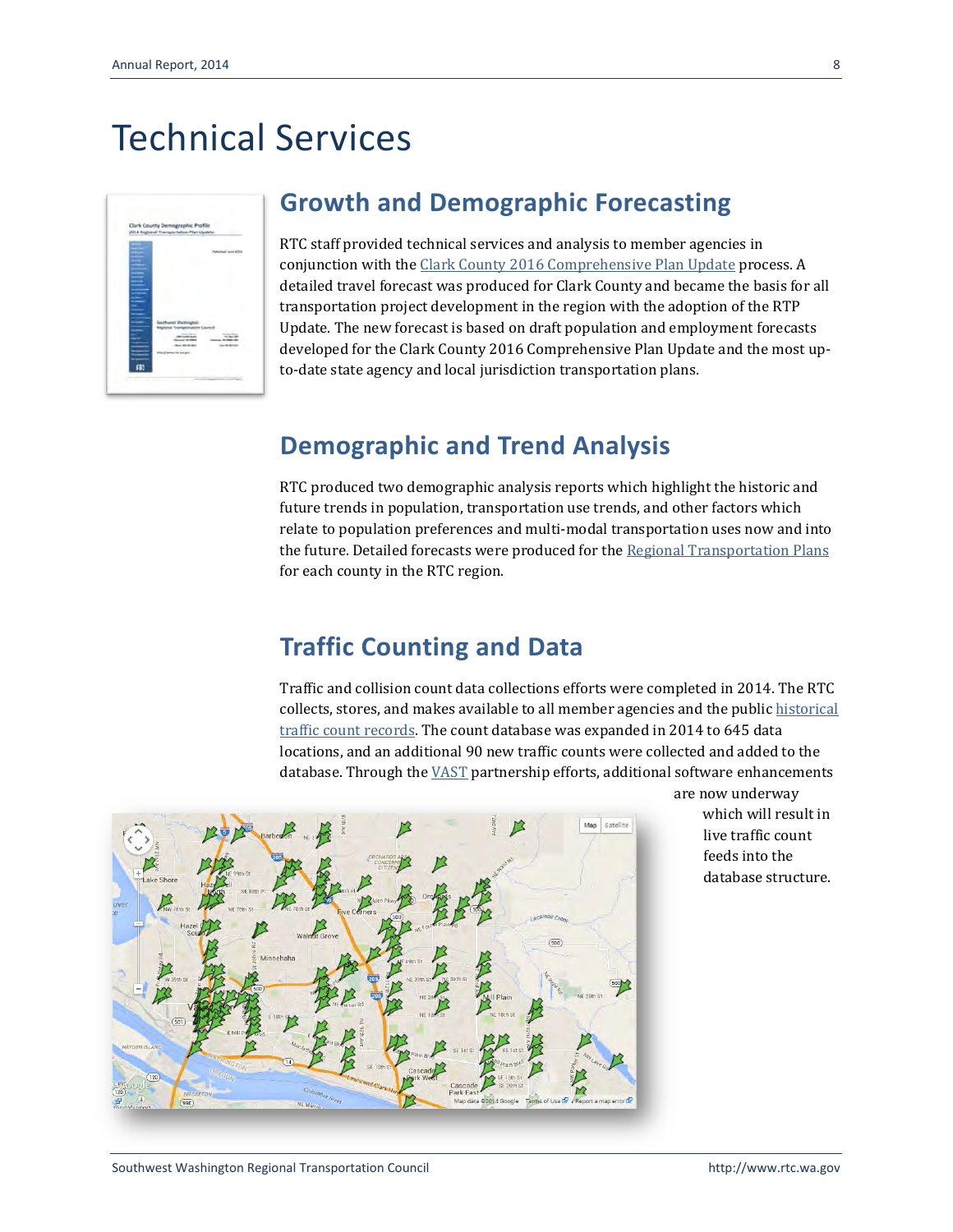# Technical Services

| 2014 Regional Transportation Plan Update. |   |              |
|-------------------------------------------|---|--------------|
|                                           |   | of love 1054 |
|                                           | m |              |

#### **Growth and Demographic Forecasting**

RTC staff provided technical services and analysis to member agencies in conjunction with th[e Clark County 2016 Comprehensive Plan Update](http://www.clark.wa.gov/Planning/2016update/index.html) process. A detailed travel forecast was produced for Clark County and became the basis for all transportation project development in the region with the adoption of the RTP Update. The new forecast is based on draft population and employment forecasts developed for the Clark County 2016 Comprehensive Plan Update and the most upto-date state agency and local jurisdiction transportation plans.

#### **Demographic and Trend Analysis**

RTC produced two demographic analysis reports which highlight the historic and future trends in population, transportation use trends, and other factors which relate to population preferences and multi-modal transportation uses now and into the future. Detailed forecasts were produced for the [Regional Transportation Plans](http://www.rtc.wa.gov/programs/rtp/) for each county in the RTC region.

#### **Traffic Counting and Data**

Traffic and collision count data collections efforts were completed in 2014. The RTC collects, stores, and makes available to all member agencies and the publi[c historical](http://www.rtc.wa.gov/data/traffic/)  [traffic count records.](http://www.rtc.wa.gov/data/traffic/) The count database was expanded in 2014 to 645 data locations, and an additional 90 new traffic counts were collected and added to the database. Through th[e VAST](http://www.rtc.wa.gov/programs/vast/) partnership efforts, additional software enhancements



[ar](http://www.rtc.wa.gov/data/traffic/)e now underway which will result in live traffic count feeds into the database structure.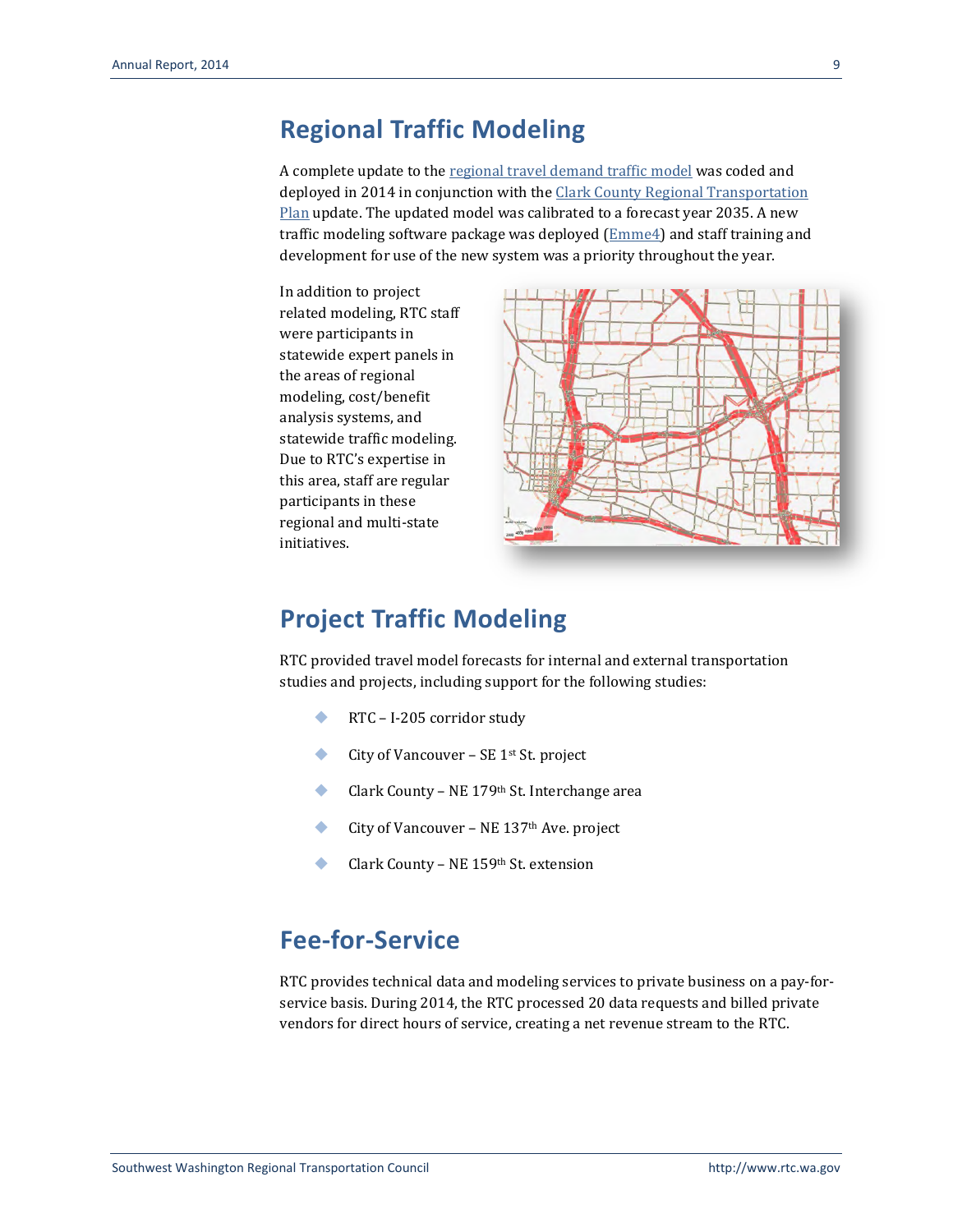#### **Regional Traffic Modeling**

A complete update to the [regional travel demand traffic](http://www.rtc.wa.gov/data/model/) model was coded and deployed in 2014 in conjunction with th[e Clark County Regional Transportation](http://www.rtc.wa.gov/programs/rtp/clark/) [Plan](http://www.rtc.wa.gov/programs/rtp/clark/) update. The updated model was calibrated to a forecast year 2035. A new traffic modeling software package was deployed [\(Emme4\)](http://www.inro.ca/en/products/emme/) and staff training and development for use of the new system was a priority throughout the year.

In addition to project related modeling, RTC staff were participants in statewide expert panels in the areas of regional modeling, cost/benefit analysis systems, and statewide traffic modeling. Due to RTC's expertise in this area, staff are regular participants in these regional and multi-state initiatives.



#### **Project Traffic Modeling**

RTC provided travel model forecasts for internal and external transportation studies and projects, including support for the following studies:

- RTC I-205 corridor study
- City of Vancouver SE  $1<sup>st</sup>$  St. project
- ◆ Clark County NE 179<sup>th</sup> St. Interchange area
- City of Vancouver NE  $137<sup>th</sup>$  Ave. project
- Clark County NE 159th St. extension

#### **Fee-for-Service**

RTC provides technical data and modeling services to private business on a pay-forservice basis. During 2014, the RTC processed 20 data requests and billed private vendors for direct hours of service, creating a net revenue stream to the RTC.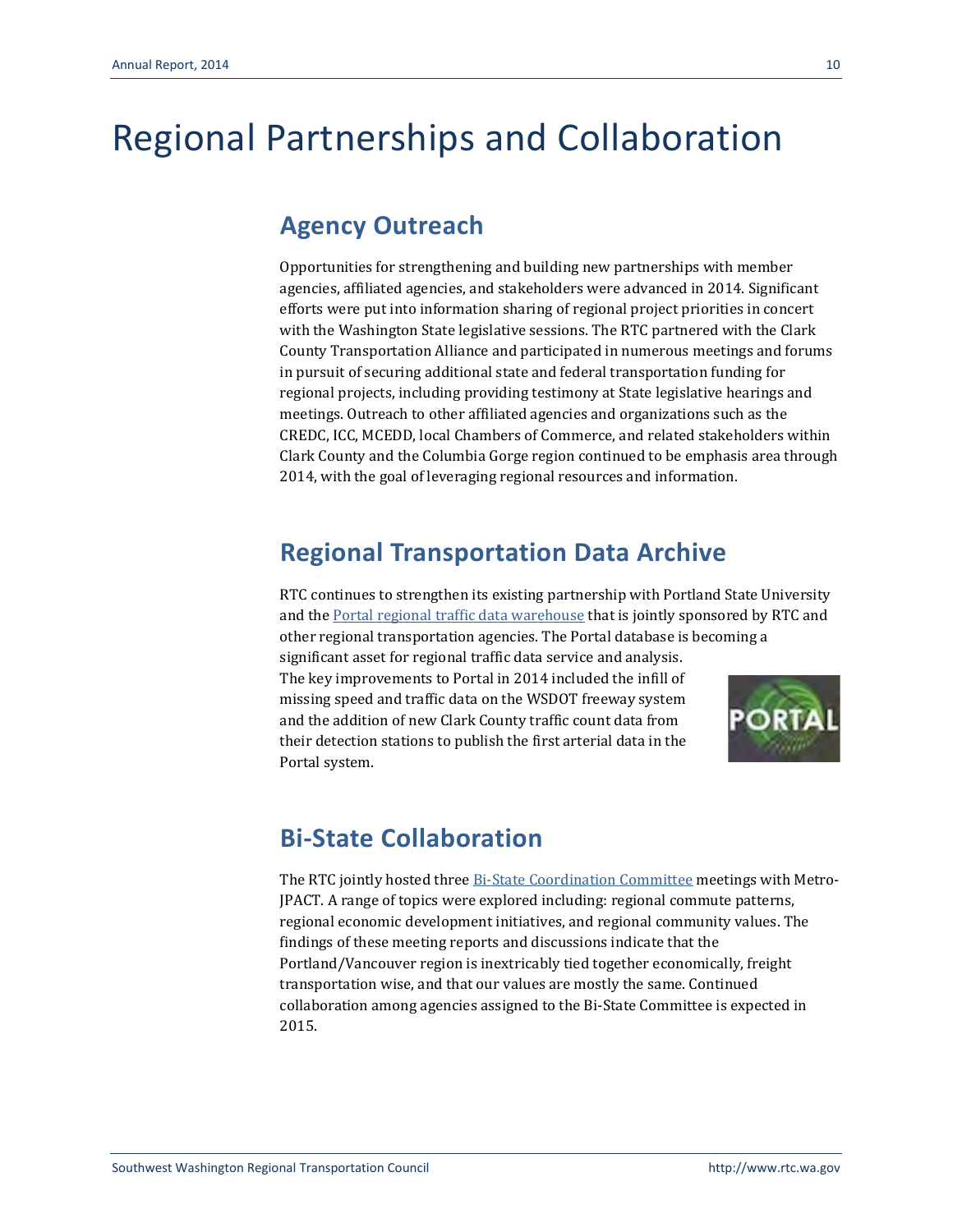# Regional Partnerships and Collaboration

### **Agency Outreach**

Opportunities for strengthening and building new partnerships with member agencies, affiliated agencies, and stakeholders were advanced in 2014. Significant efforts were put into information sharing of regional project priorities in concert with the Washington State legislative sessions. The RTC partnered with the Clark County Transportation Alliance and participated in numerous meetings and forums in pursuit of securing additional state and federal transportation funding for regional projects, including providing testimony at State legislative hearings and meetings. Outreach to other affiliated agencies and organizations such as the CREDC, ICC, MCEDD, local Chambers of Commerce, and related stakeholders within Clark County and the Columbia Gorge region continued to be emphasis area through 2014, with the goal of leveraging regional resources and information.

## **Regional Transportation Data Archive**

RTC continues to strengthen its existing partnership with Portland State University and the [Portal regional traffic data warehouse](http://portal.its.pdx.edu/Portal/) that is jointly sponsored by RTC and other regional transportation agencies. The Portal database is becoming a

significant asset for regional traffic data service and analysis. The key improvements to Portal in 2014 included the infill of missing speed and traffic data on the WSDOT freeway system and the addition of new Clark County traffic count data from their detection stations to publish the first arterial data in the Portal system.



## **Bi-State Collaboration**

The RTC jointly hosted three [Bi-State Coordination Committee](http://www.rtc.wa.gov/bistate/) meetings with Metro-JPACT. A range of topics were explored including: regional commute patterns, regional economic development initiatives, and regional community values. The findings of these meeting reports and discussions indicate that the Portland/Vancouver region is inextricably tied together economically, freight transportation wise, and that our values are mostly the same. Continued collaboration among agencies assigned to the Bi-State Committee is expected in 2015.